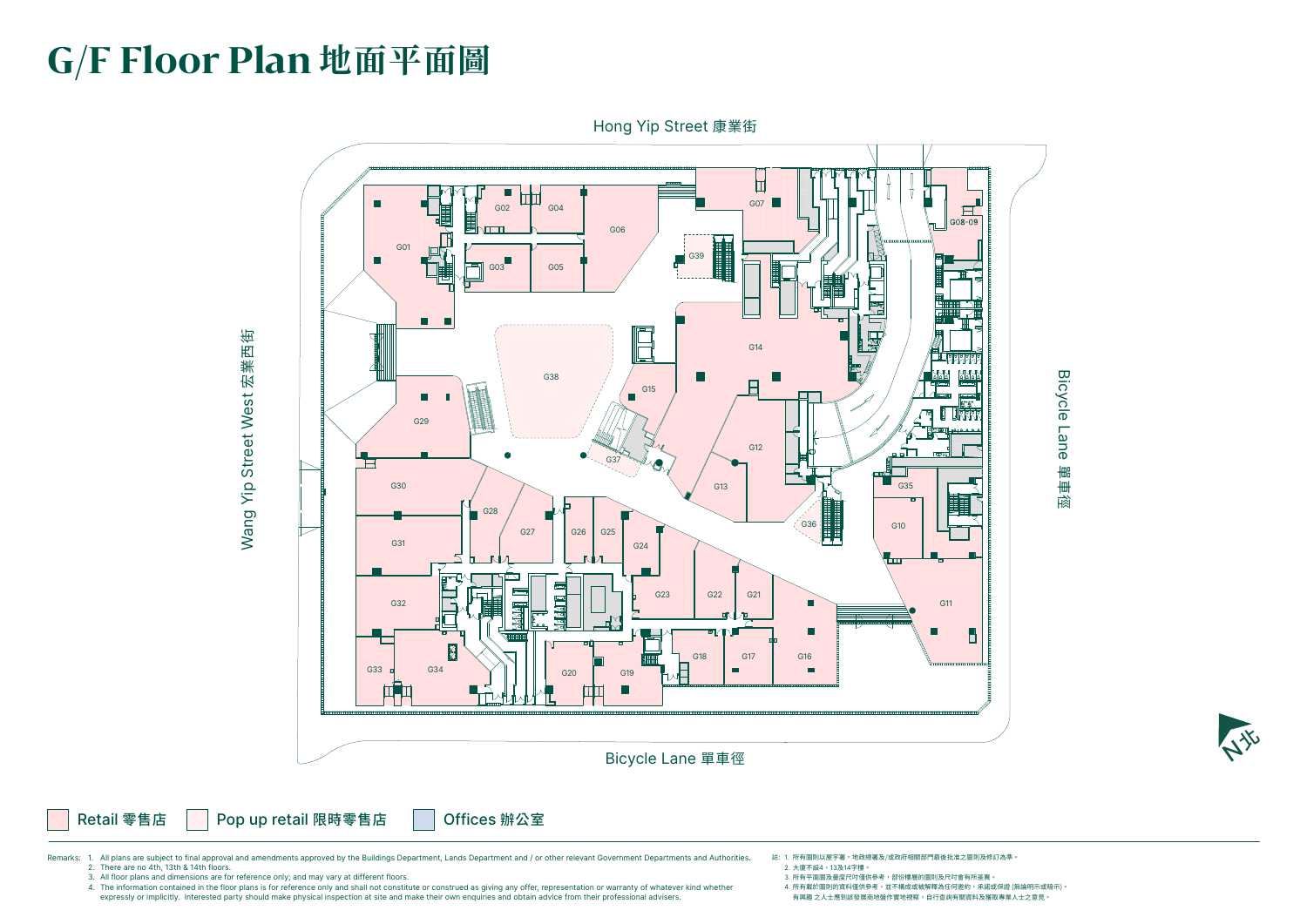# **G/F Floor Plan 地面平面圖**



- 註: 1. 所有圖則以屋宇署,地政總署及/或政府相關部門最後批准之圖則及修訂為準。 2. 大廈不設4、13及14字樓。
- 3. 所有平面圖及量度尺吋僅供參考,部份樓層的圖則及尺吋會有所差異。
	- 4. 所有載於圖則的資料僅供參考,並不構成或被解釋為任何邀約、承諾或保證 (無論明示或暗示)。
	- 有興趣 之人士應到該發展商地盤作實地視察,自行查詢有關資料及獲取專業人士之意見。



Remarks: 1. All plans are subject to final approval and amendments approved by the Buildings Department, Lands Department and / or other relevant Government Departments and Authorities. 2. There are no 4th, 13th & 14th floors.

3. All floor plans and dimensions are for reference only; and may vary at different floors.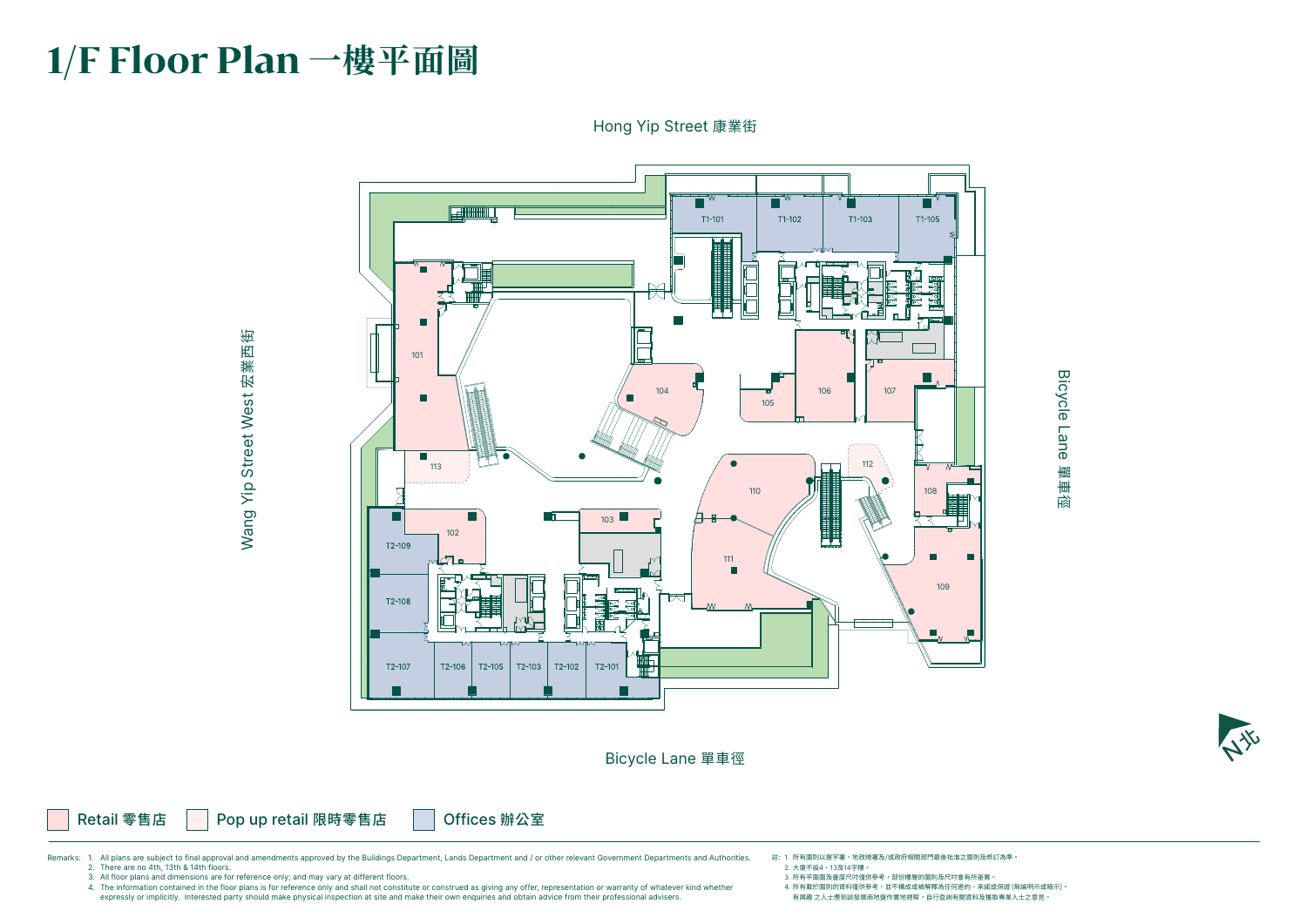# **1/F Floor Plan 一樓平面圖**

Bicycle Lane 單車徑

Retail 零售店 | Pop up retail 限時零售店 | Offices 辦公室

Wang Yip Street West 宏業西街 Wang Yip Street West 宏業西街

# Bicycle Lane Bicycle Lane 單車徑



#### Hong Yip Street 康業街



- 註: 1. 所有圖則以屋宇署,地政總署及/或政府相關部門最後批准之圖則及修訂為準。 2. 大廈不設4、13及14字樓。
- 3. 所有平面圖及量度尺吋僅供參考,部份樓層的圖則及尺吋會有所差異。
- 4. 所有載於圖則的資料僅供參考,並不構成或被解釋為任何邀約、承諾或保證 (無論明示或暗示)。 有興趣 之人士應到該發展商地盤作實地視察,自行查詢有關資料及獲取專業人士之意見。

Remarks: 1. All plans are subject to final approval and amendments approved by the Buildings Department, Lands Department and / or other relevant Government Departments and Authorities. 2. There are no 4th, 13th & 14th floors.

3. All floor plans and dimensions are for reference only; and may vary at different floors.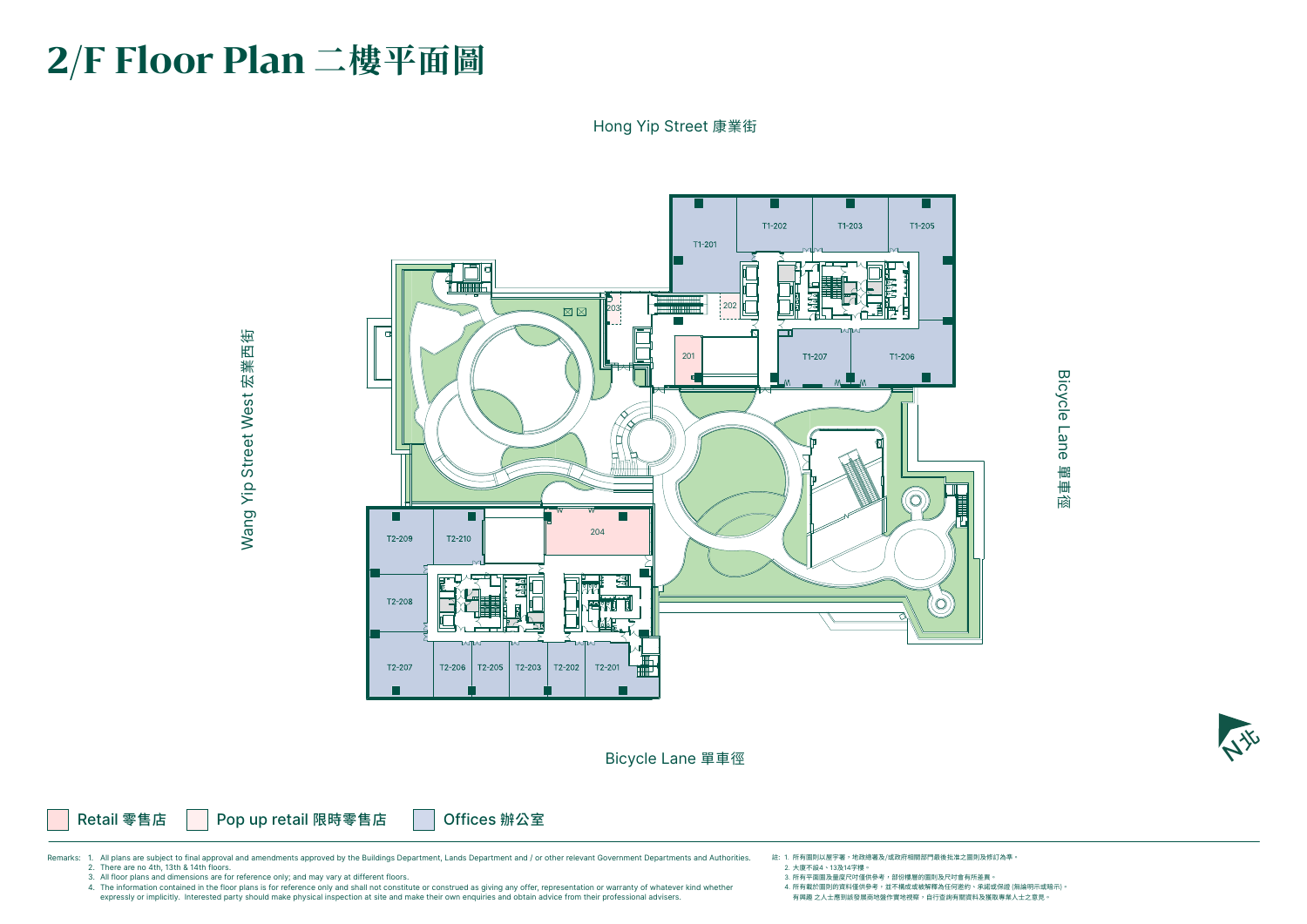

# **2/F Floor Plan 二樓平面圖**

Bicycle Lane 單車徑

Retail 零售店 | Pop up retail 限時零售店 | Offices 辦公室

Wang Yip Street West 宏業西街 Wang Yip Street West 宏業西街

#### Hong Yip Street 康業街

# **Bicycle Lane** Bicycle Lane 單車徑

註: 1. 所有圖則以屋宇署,地政總署及/或政府相關部門最後批准之圖則及修訂為準。 2. 大廈不設4、13及14字樓。



Remarks: 1. All plans are subject to final approval and amendments approved by the Buildings Department, Lands Department and / or other relevant Government Departments and Authorities. 2. There are no 4th, 13th & 14th floors.

3. 所有平面圖及量度尺吋僅供參考,部份樓層的圖則及尺吋會有所差異。 4. 所有載於圖則的資料僅供參考,並不構成或被解釋為任何邀約、承諾或保證 (無論明示或暗示)。 有興趣 之人士應到該發展商地盤作實地視察,自行查詢有關資料及獲取專業人士之意見。

3. All floor plans and dimensions are for reference only; and may vary at different floors.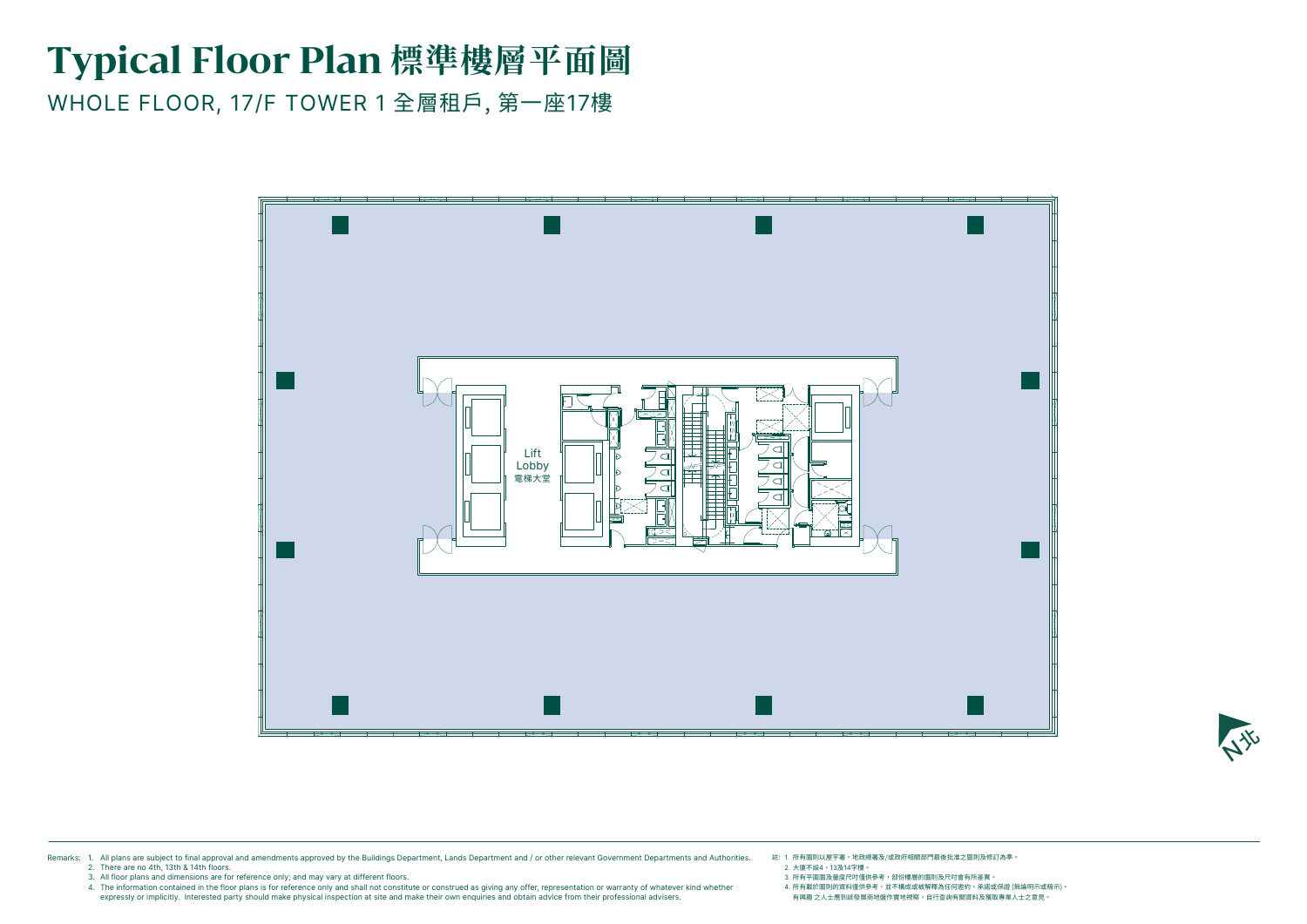

## **Typical Floor Plan 標準樓層平面圖**

WHOLE FLOOR, 17/F TOWER 1 全層租戶, 第一座17樓



- 註: 1. 所有圖則以屋宇署,地政總署及/或政府相關部門最後批准之圖則及修訂為準。 2. 大廈不設4、13及14字樓。
- 3. 所有平面圖及量度尺吋僅供參考,部份樓層的圖則及尺吋會有所差異。
- 4. 所有載於圖則的資料僅供參考,並不構成或被解釋為任何邀約、承諾或保證 (無論明示或暗示)。 有興趣 之人士應到該發展商地盤作實地視察,自行查詢有關資料及獲取專業人士之意見。



Remarks: 1. All plans are subject to final approval and amendments approved by the Buildings Department, Lands Department and / or other relevant Government Departments and Authorities. 2. There are no 4th, 13th & 14th floors.

3. All floor plans and dimensions are for reference only; and may vary at different floors.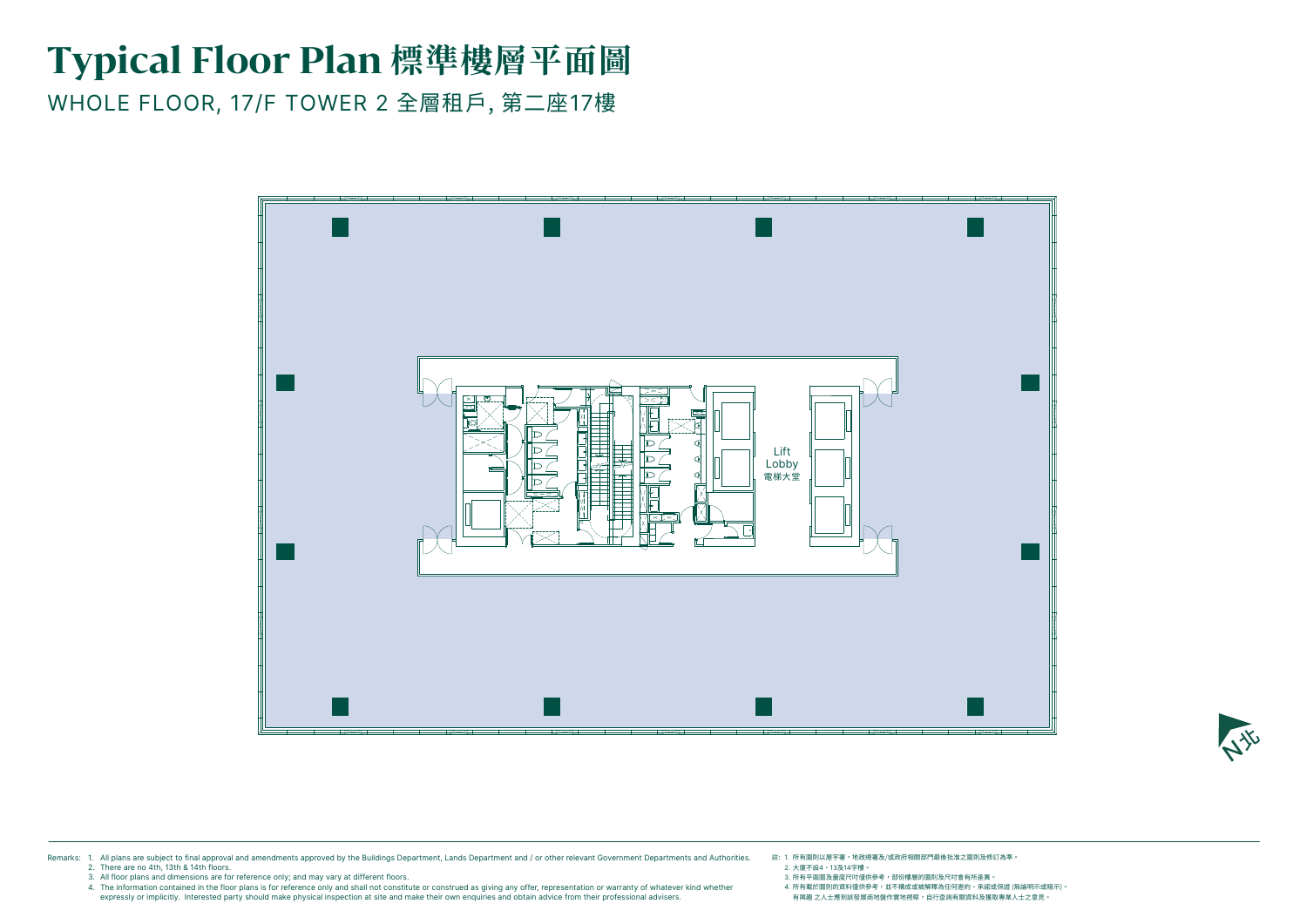## **Typical Floor Plan 標準樓層平面圖**

WHOLE FLOOR, 17/F TOWER 2 全層租戶, 第二座17樓

註: 1. 所有圖則以屋宇署,地政總署及/或政府相關部門最後批准之圖則及修訂為準。 2. 大廈不設4、13及14字樓。





3. 所有平面圖及量度尺吋僅供參考,部份樓層的圖則及尺吋會有所差異。 4. 所有載於圖則的資料僅供參考,並不構成或被解釋為任何邀約、承諾或保證 (無論明示或暗示)。 有興趣 之人士應到該發展商地盤作實地視察,自行查詢有關資料及獲取專業人士之意見。



Remarks: 1. All plans are subject to final approval and amendments approved by the Buildings Department, Lands Department and / or other relevant Government Departments and Authorities. 2. There are no 4th, 13th & 14th floors.

3. All floor plans and dimensions are for reference only; and may vary at different floors.